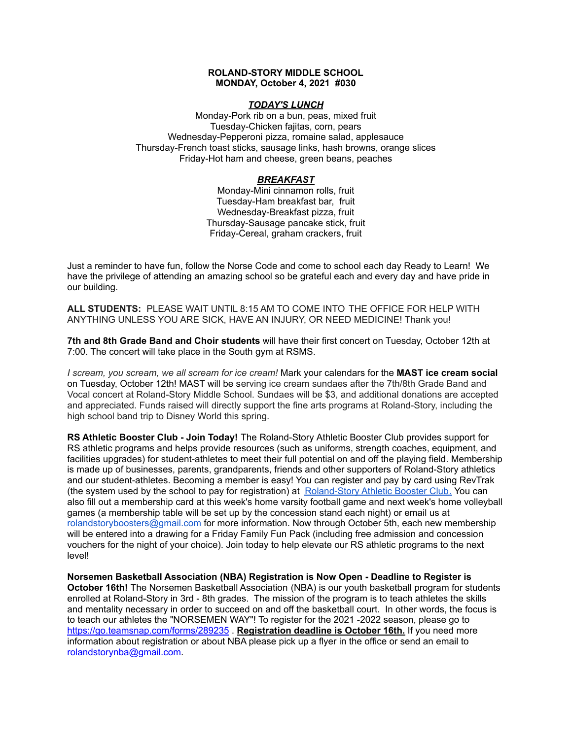## **ROLAND-STORY MIDDLE SCHOOL MONDAY, October 4, 2021 #030**

## *TODAY'S LUNCH*

Monday-Pork rib on a bun, peas, mixed fruit Tuesday-Chicken fajitas, corn, pears Wednesday-Pepperoni pizza, romaine salad, applesauce Thursday-French toast sticks, sausage links, hash browns, orange slices Friday-Hot ham and cheese, green beans, peaches

# *BREAKFAST*

Monday-Mini cinnamon rolls, fruit Tuesday-Ham breakfast bar, fruit Wednesday-Breakfast pizza, fruit Thursday-Sausage pancake stick, fruit Friday-Cereal, graham crackers, fruit

Just a reminder to have fun, follow the Norse Code and come to school each day Ready to Learn! We have the privilege of attending an amazing school so be grateful each and every day and have pride in our building.

**ALL STUDENTS:** PLEASE WAIT UNTIL 8:15 AM TO COME INTO THE OFFICE FOR HELP WITH ANYTHING UNLESS YOU ARE SICK, HAVE AN INJURY, OR NEED MEDICINE! Thank you!

**7th and 8th Grade Band and Choir students** will have their first concert on Tuesday, October 12th at 7:00. The concert will take place in the South gym at RSMS.

*I scream, you scream, we all scream for ice cream!* Mark your calendars for the **MAST ice cream social** on Tuesday, October 12th! MAST will be serving ice cream sundaes after the 7th/8th Grade Band and Vocal concert at Roland-Story Middle School. Sundaes will be \$3, and additional donations are accepted and appreciated. Funds raised will directly support the fine arts programs at Roland-Story, including the high school band trip to Disney World this spring.

**RS Athletic Booster Club - Join Today!** The Roland-Story Athletic Booster Club provides support for RS athletic programs and helps provide resources (such as uniforms, strength coaches, equipment, and facilities upgrades) for student-athletes to meet their full potential on and off the playing field. Membership is made up of businesses, parents, grandparents, friends and other supporters of Roland-Story athletics and our student-athletes. Becoming a member is easy! You can register and pay by card using RevTrak (the system used by the school to pay for registration) at [Roland-Story](https://rolandstory.revtrak.net/Roland-Story-Athletic-Booster-Club/) Athletic Booster Club. You can also fill out a membership card at this week's home varsity football game and next week's home volleyball games (a membership table will be set up by the concession stand each night) or email us at rolandstoryboosters@gmail.com for more information. Now through October 5th, each new membership will be entered into a drawing for a Friday Family Fun Pack (including free admission and concession vouchers for the night of your choice). Join today to help elevate our RS athletic programs to the next level!

**Norsemen Basketball Association (NBA) Registration is Now Open - Deadline to Register is October 16th!** The Norsemen Basketball Association (NBA) is our youth basketball program for students enrolled at Roland-Story in 3rd - 8th grades. The mission of the program is to teach athletes the skills and mentality necessary in order to succeed on and off the basketball court. In other words, the focus is to teach our athletes the "NORSEMEN WAY"! To register for the 2021 -2022 season, please go to <https://go.teamsnap.com/forms/289235> . **Registration deadline is October 16th.** If you need more information about registration or about NBA please pick up a flyer in the office or send an email to rolandstorynba@gmail.com.